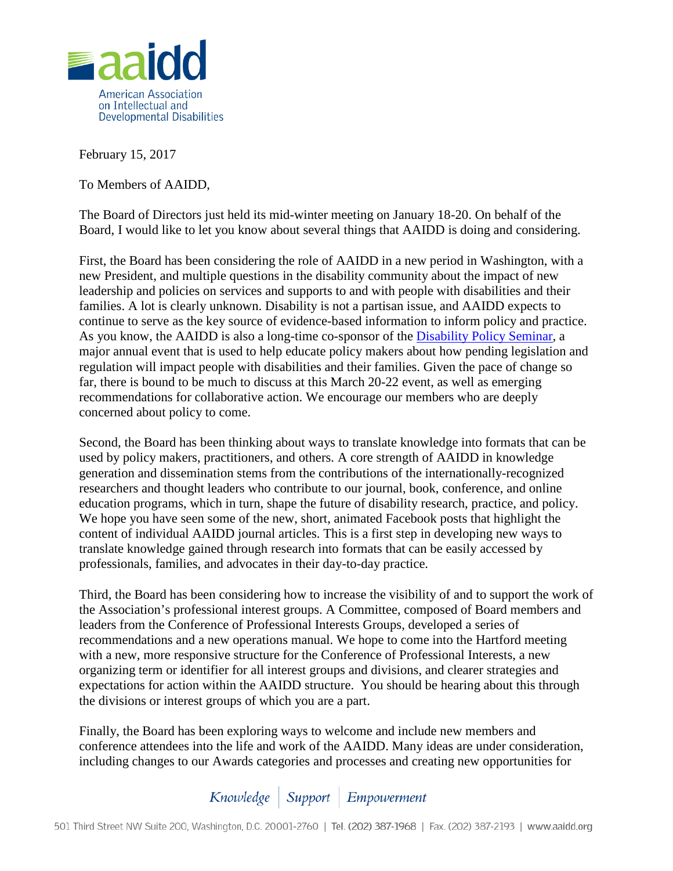

February 15, 2017

To Members of AAIDD,

The Board of Directors just held its mid-winter meeting on January 18-20. On behalf of the Board, I would like to let you know about several things that AAIDD is doing and considering.

First, the Board has been considering the role of AAIDD in a new period in Washington, with a new President, and multiple questions in the disability community about the impact of new leadership and policies on services and supports to and with people with disabilities and their families. A lot is clearly unknown. Disability is not a partisan issue, and AAIDD expects to continue to serve as the key source of evidence-based information to inform policy and practice. As you know, the AAIDD is also a long-time co-sponsor of the [Disability Policy Seminar,](http://disabilitypolicyseminar.org/) a major annual event that is used to help educate policy makers about how pending legislation and regulation will impact people with disabilities and their families. Given the pace of change so far, there is bound to be much to discuss at this March 20-22 event, as well as emerging recommendations for collaborative action. We encourage our members who are deeply concerned about policy to come.

Second, the Board has been thinking about ways to translate knowledge into formats that can be used by policy makers, practitioners, and others. A core strength of AAIDD in knowledge generation and dissemination stems from the contributions of the internationally-recognized researchers and thought leaders who contribute to our journal, book, conference, and online education programs, which in turn, shape the future of disability research, practice, and policy. We hope you have seen some of the new, short, animated Facebook posts that highlight the content of individual AAIDD journal articles. This is a first step in developing new ways to translate knowledge gained through research into formats that can be easily accessed by professionals, families, and advocates in their day-to-day practice.

Third, the Board has been considering how to increase the visibility of and to support the work of the Association's professional interest groups. A Committee, composed of Board members and leaders from the Conference of Professional Interests Groups, developed a series of recommendations and a new operations manual. We hope to come into the Hartford meeting with a new, more responsive structure for the Conference of Professional Interests, a new organizing term or identifier for all interest groups and divisions, and clearer strategies and expectations for action within the AAIDD structure. You should be hearing about this through the divisions or interest groups of which you are a part.

Finally, the Board has been exploring ways to welcome and include new members and conference attendees into the life and work of the AAIDD. Many ideas are under consideration, including changes to our Awards categories and processes and creating new opportunities for

Knowledge | Support | Empowerment